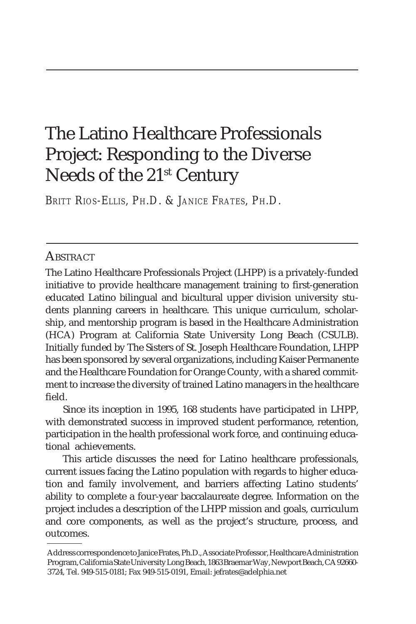# The Latino Healthcare Professionals Project: Responding to the Diverse Needs of the 21st Century

*BRITT RIOS-ELLIS, PH.D. & JANICE FRATES, PH.D.*

# **ABSTRACT**

The Latino Healthcare Professionals Project (LHPP) is a privately-funded initiative to provide healthcare management training to first-generation educated Latino bilingual and bicultural upper division university students planning careers in healthcare. This unique curriculum, scholarship, and mentorship program is based in the Healthcare Administration (HCA) Program at California State University Long Beach (CSULB). Initially funded by The Sisters of St. Joseph Healthcare Foundation, LHPP has been sponsored by several organizations, including Kaiser Permanente and the Healthcare Foundation for Orange County, with a shared commitment to increase the diversity of trained Latino managers in the healthcare field.

Since its inception in 1995, 168 students have participated in LHPP, with demonstrated success in improved student performance, retention, participation in the health professional work force, and continuing educational achievements.

This article discusses the need for Latino healthcare professionals, current issues facing the Latino population with regards to higher education and family involvement, and barriers affecting Latino students' ability to complete a four-year baccalaureate degree. Information on the project includes a description of the LHPP mission and goals, curriculum and core components, as well as the project's structure, process, and outcomes.

Address correspondence to Janice Frates, Ph.D., Associate Professor, Healthcare Administration Program, California State University Long Beach, 1863 Braemar Way, Newport Beach, CA 92660- 3724, Tel. 949-515-0181; Fax 949-515-0191, Email: jefrates@adelphia.net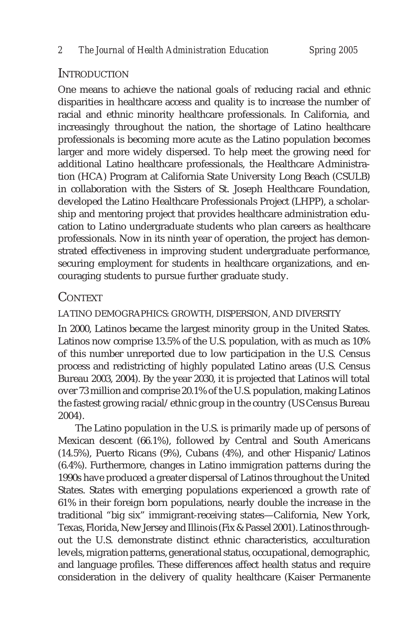## INTRODUCTION

One means to achieve the national goals of reducing racial and ethnic disparities in healthcare access and quality is to increase the number of racial and ethnic minority healthcare professionals. In California, and increasingly throughout the nation, the shortage of Latino healthcare professionals is becoming more acute as the Latino population becomes larger and more widely dispersed. To help meet the growing need for additional Latino healthcare professionals, the Healthcare Administration (HCA) Program at California State University Long Beach (CSULB) in collaboration with the Sisters of St. Joseph Healthcare Foundation, developed the Latino Healthcare Professionals Project (LHPP), a scholarship and mentoring project that provides healthcare administration education to Latino undergraduate students who plan careers as healthcare professionals. Now in its ninth year of operation, the project has demonstrated effectiveness in improving student undergraduate performance, securing employment for students in healthcare organizations, and encouraging students to pursue further graduate study.

# **CONTEXT**

LATINO DEMOGRAPHICS: GROWTH, DISPERSION, AND DIVERSITY

In 2000, Latinos became the largest minority group in the United States. Latinos now comprise 13.5% of the U.S. population, with as much as 10% of this number unreported due to low participation in the U.S. Census process and redistricting of highly populated Latino areas (U.S. Census Bureau 2003, 2004). By the year 2030, it is projected that Latinos will total over 73 million and comprise 20.1% of the U.S. population, making Latinos the fastest growing racial/ethnic group in the country (US Census Bureau 2004).

The Latino population in the U.S. is primarily made up of persons of Mexican descent (66.1%), followed by Central and South Americans (14.5%), Puerto Ricans (9%), Cubans (4%), and other Hispanic/Latinos (6.4%). Furthermore, changes in Latino immigration patterns during the 1990s have produced a greater dispersal of Latinos throughout the United States. States with emerging populations experienced a growth rate of 61% in their foreign born populations, nearly double the increase in the traditional "big six" immigrant-receiving states—California, New York, Texas, Florida, New Jersey and Illinois (Fix & Passel 2001). Latinos throughout the U.S. demonstrate distinct ethnic characteristics, acculturation levels, migration patterns, generational status, occupational, demographic, and language profiles. These differences affect health status and require consideration in the delivery of quality healthcare (Kaiser Permanente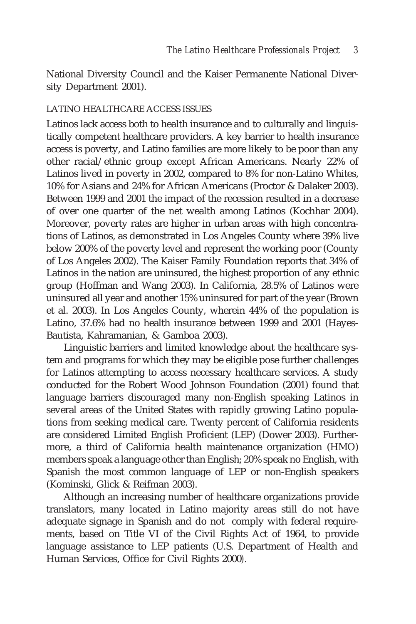National Diversity Council and the Kaiser Permanente National Diversity Department 2001).

#### LATINO HEALTHCARE ACCESS ISSUES

Latinos lack access both to health insurance and to culturally and linguistically competent healthcare providers. A key barrier to health insurance access is poverty, and Latino families are more likely to be poor than any other racial/ethnic group except African Americans. Nearly 22% of Latinos lived in poverty in 2002, compared to 8% for non-Latino Whites, 10% for Asians and 24% for African Americans (Proctor & Dalaker 2003). Between 1999 and 2001 the impact of the recession resulted in a decrease of over one quarter of the net wealth among Latinos (Kochhar 2004). Moreover, poverty rates are higher in urban areas with high concentrations of Latinos, as demonstrated in Los Angeles County where 39% live below 200% of the poverty level and represent the working poor (County of Los Angeles 2002). The Kaiser Family Foundation reports that 34% of Latinos in the nation are uninsured, the highest proportion of any ethnic group (Hoffman and Wang 2003). In California, 28.5% of Latinos were uninsured all year and another 15% uninsured for part of the year (Brown et al. 2003). In Los Angeles County, wherein 44% of the population is Latino, 37.6% had no health insurance between 1999 and 2001 (Hayes-Bautista, Kahramanian, & Gamboa 2003).

Linguistic barriers and limited knowledge about the healthcare system and programs for which they may be eligible pose further challenges for Latinos attempting to access necessary healthcare services. A study conducted for the Robert Wood Johnson Foundation (2001) found that language barriers discouraged many non-English speaking Latinos in several areas of the United States with rapidly growing Latino populations from seeking medical care. Twenty percent of California residents are considered Limited English Proficient (LEP) (Dower 2003). Furthermore, a third of California health maintenance organization (HMO) members speak a language other than English; 20% speak no English, with Spanish the most common language of LEP or non-English speakers (Kominski, Glick & Reifman 2003).

Although an increasing number of healthcare organizations provide translators, many located in Latino majority areas still do not have adequate signage in Spanish and do not comply with federal requirements, based on Title VI of the Civil Rights Act of 1964, to provide language assistance to LEP patients (U.S. Department of Health and Human Services, Office for Civil Rights 2000*).*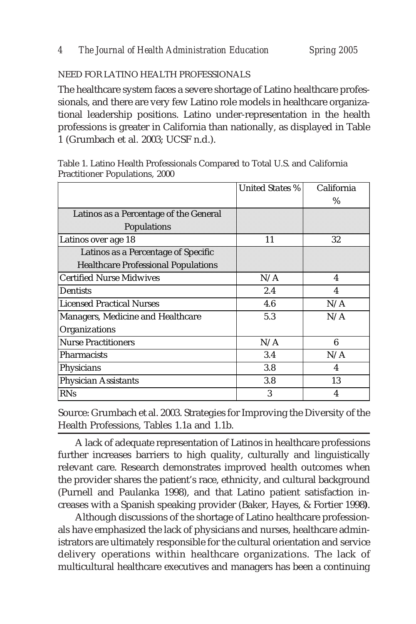#### NEED FOR LATINO HEALTH PROFESSIONALS

The healthcare system faces a severe shortage of Latino healthcare professionals, and there are very few Latino role models in healthcare organizational leadership positions. Latino under-representation in the health professions is greater in California than nationally, as displayed in Table 1 (Grumbach et al. 2003; UCSF n.d.).

|                                                                                   | United States % | California |
|-----------------------------------------------------------------------------------|-----------------|------------|
|                                                                                   |                 | $\%$       |
| Latinos as a Percentage of the General<br>Populations                             |                 |            |
| Latinos over age 18                                                               | 11              | 32         |
| Latinos as a Percentage of Specific<br><b>Healthcare Professional Populations</b> |                 |            |
| <b>Certified Nurse Midwives</b>                                                   | N/A             | 4          |
| Dentists                                                                          | 2.4             | 4          |
| <b>Licensed Practical Nurses</b>                                                  | 4.6             | N/A        |
| Managers, Medicine and Healthcare                                                 | 5.3             | N/A        |
| Organizations                                                                     |                 |            |
| <b>Nurse Practitioners</b>                                                        | N/A             | 6          |
| Pharmacists                                                                       | 3.4             | N/A        |
| Physicians                                                                        | 3.8             | 4          |
| <b>Physician Assistants</b>                                                       | 3.8             | 13         |
| <b>RNs</b>                                                                        | 3               | 4          |

Table 1. Latino Health Professionals Compared to Total U.S. and California Practitioner Populations, 2000

Source: Grumbach et al. 2003. Strategies for Improving the Diversity of the Health Professions, Tables 1.1a and 1.1b.

A lack of adequate representation of Latinos in healthcare professions further increases barriers to high quality, culturally and linguistically relevant care. Research demonstrates improved health outcomes when the provider shares the patient's race, ethnicity, and cultural background (Purnell and Paulanka 1998), and that Latino patient satisfaction increases with a Spanish speaking provider (Baker, Hayes, & Fortier 1998**)**.

Although discussions of the shortage of Latino healthcare professionals have emphasized the lack of physicians and nurses, healthcare administrators are ultimately responsible for the cultural orientation and service delivery operations within healthcare organizations. The lack of multicultural healthcare executives and managers has been a continuing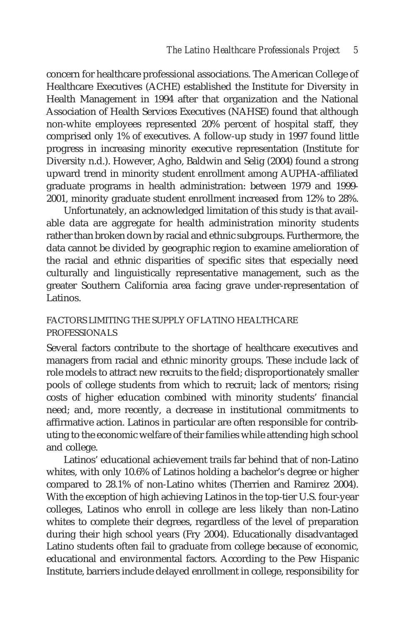concern for healthcare professional associations. The American College of Healthcare Executives (ACHE) established the Institute for Diversity in Health Management in 1994 after that organization and the National Association of Health Services Executives (NAHSE) found that although non-white employees represented 20% percent of hospital staff, they comprised only 1% of executives. A follow-up study in 1997 found little progress in increasing minority executive representation (Institute for Diversity n.d.). However, Agho, Baldwin and Selig (2004) found a strong upward trend in minority student enrollment among AUPHA-affiliated graduate programs in health administration: between 1979 and 1999- 2001, minority graduate student enrollment increased from 12% to 28%.

Unfortunately, an acknowledged limitation of this study is that available data are aggregate for health administration minority students rather than broken down by racial and ethnic subgroups. Furthermore, the data cannot be divided by geographic region to examine amelioration of the racial and ethnic disparities of specific sites that especially need culturally and linguistically representative management, such as the greater Southern California area facing grave under-representation of Latinos.

## FACTORS LIMITING THE SUPPLY OF LATINO HEALTHCARE PROFESSIONALS

Several factors contribute to the shortage of healthcare executives and managers from racial and ethnic minority groups. These include lack of role models to attract new recruits to the field; disproportionately smaller pools of college students from which to recruit; lack of mentors; rising costs of higher education combined with minority students' financial need; and, more recently, a decrease in institutional commitments to affirmative action. Latinos in particular are often responsible for contributing to the economic welfare of their families while attending high school and college.

Latinos' educational achievement trails far behind that of non-Latino whites, with only 10.6% of Latinos holding a bachelor's degree or higher compared to 28.1% of non-Latino whites (Therrien and Ramirez 2004). With the exception of high achieving Latinos in the top-tier U.S. four-year colleges, Latinos who enroll in college are less likely than non-Latino whites to complete their degrees, regardless of the level of preparation during their high school years (Fry 2004). Educationally disadvantaged Latino students often fail to graduate from college because of economic, educational and environmental factors. According to the Pew Hispanic Institute, barriers include delayed enrollment in college, responsibility for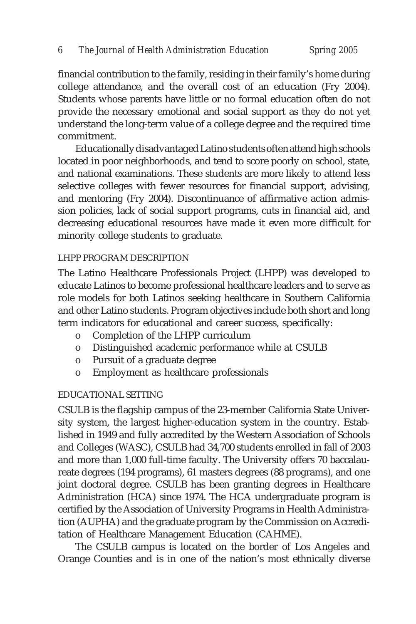financial contribution to the family, residing in their family's home during college attendance, and the overall cost of an education (Fry 2004). Students whose parents have little or no formal education often do not provide the necessary emotional and social support as they do not yet understand the long-term value of a college degree and the required time commitment.

Educationally disadvantaged Latino students often attend high schools located in poor neighborhoods, and tend to score poorly on school, state, and national examinations. These students are more likely to attend less selective colleges with fewer resources for financial support, advising, and mentoring (Fry 2004). Discontinuance of affirmative action admission policies, lack of social support programs, cuts in financial aid, and decreasing educational resources have made it even more difficult for minority college students to graduate.

#### LHPP PROGRAM DESCRIPTION

The Latino Healthcare Professionals Project (LHPP) was developed to educate Latinos to become professional healthcare leaders and to serve as role models for both Latinos seeking healthcare in Southern California and other Latino students. Program objectives include both short and long term indicators for educational and career success, specifically:

- o Completion of the LHPP curriculum
- o Distinguished academic performance while at CSULB
- o Pursuit of a graduate degree
- o Employment as healthcare professionals

#### EDUCATIONAL SETTING

CSULB is the flagship campus of the 23-member California State University system, the largest higher-education system in the country. Established in 1949 and fully accredited by the Western Association of Schools and Colleges (WASC), CSULB had 34,700 students enrolled in fall of 2003 and more than 1,000 full-time faculty. The University offers 70 baccalaureate degrees (194 programs), 61 masters degrees (88 programs), and one joint doctoral degree. CSULB has been granting degrees in Healthcare Administration (HCA) since 1974. The HCA undergraduate program is certified by the Association of University Programs in Health Administration (AUPHA) and the graduate program by the Commission on Accreditation of Healthcare Management Education (CAHME).

The CSULB campus is located on the border of Los Angeles and Orange Counties and is in one of the nation's most ethnically diverse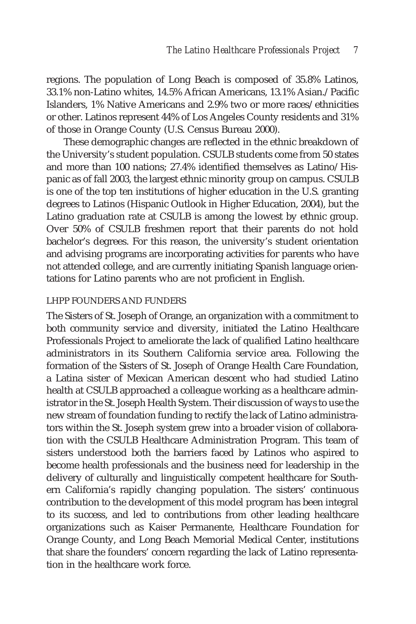regions. The population of Long Beach is composed of 35.8% Latinos, 33.1% non-Latino whites, 14.5% African Americans, 13.1% Asian./Pacific Islanders, 1% Native Americans and 2.9% two or more races/ethnicities or other. Latinos represent 44% of Los Angeles County residents and 31% of those in Orange County (U.S. Census Bureau 2000).

These demographic changes are reflected in the ethnic breakdown of the University's student population. CSULB students come from 50 states and more than 100 nations; 27.4% identified themselves as Latino/Hispanic as of fall 2003, the largest ethnic minority group on campus. CSULB is one of the top ten institutions of higher education in the U.S. granting degrees to Latinos (Hispanic Outlook in Higher Education, 2004), but the Latino graduation rate at CSULB is among the lowest by ethnic group. Over 50% of CSULB freshmen report that their parents do not hold bachelor's degrees. For this reason, the university's student orientation and advising programs are incorporating activities for parents who have not attended college, and are currently initiating Spanish language orientations for Latino parents who are not proficient in English.

#### LHPP FOUNDERS AND FUNDERS

The Sisters of St. Joseph of Orange, an organization with a commitment to both community service and diversity, initiated the Latino Healthcare Professionals Project to ameliorate the lack of qualified Latino healthcare administrators in its Southern California service area. Following the formation of the Sisters of St. Joseph of Orange Health Care Foundation, a Latina sister of Mexican American descent who had studied Latino health at CSULB approached a colleague working as a healthcare administrator in the St. Joseph Health System. Their discussion of ways to use the new stream of foundation funding to rectify the lack of Latino administrators within the St. Joseph system grew into a broader vision of collaboration with the CSULB Healthcare Administration Program. This team of sisters understood both the barriers faced by Latinos who aspired to become health professionals and the business need for leadership in the delivery of culturally and linguistically competent healthcare for Southern California's rapidly changing population. The sisters' continuous contribution to the development of this model program has been integral to its success, and led to contributions from other leading healthcare organizations such as Kaiser Permanente, Healthcare Foundation for Orange County, and Long Beach Memorial Medical Center, institutions that share the founders' concern regarding the lack of Latino representation in the healthcare work force.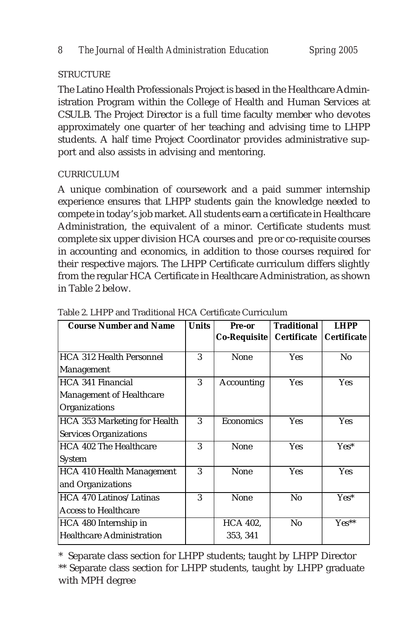## **STRUCTURE**

The Latino Health Professionals Project is based in the Healthcare Administration Program within the College of Health and Human Services at CSULB. The Project Director is a full time faculty member who devotes approximately one quarter of her teaching and advising time to LHPP students. A half time Project Coordinator provides administrative support and also assists in advising and mentoring.

## CURRICULUM

A unique combination of coursework and a paid summer internship experience ensures that LHPP students gain the knowledge needed to compete in today's job market. All students earn a certificate in Healthcare Administration, the equivalent of a minor. Certificate students must complete six upper division HCA courses and pre or co-requisite courses in accounting and economics, in addition to those courses required for their respective majors. The LHPP Certificate curriculum differs slightly from the regular HCA Certificate in Healthcare Administration, as shown in Table 2 below.

| <b>Course Number and Name</b>    | <b>Units</b> | Pre-or           | <b>Traditional</b> | <b>LHPP</b>        |
|----------------------------------|--------------|------------------|--------------------|--------------------|
|                                  |              | Co-Requisite     | <b>Certificate</b> | <b>Certificate</b> |
| <b>HCA 312 Health Personnel</b>  | 3            | None             | Yes                | N <sub>0</sub>     |
| Management                       |              |                  |                    |                    |
| HCA 341 Financial                | 3            | Accounting       | <b>Yes</b>         | <b>Yes</b>         |
| <b>Management of Healthcare</b>  |              |                  |                    |                    |
| Organizations                    |              |                  |                    |                    |
| HCA 353 Marketing for Health     | 3            | <b>Economics</b> | <b>Yes</b>         | <b>Yes</b>         |
| <b>Services Organizations</b>    |              |                  |                    |                    |
| HCA 402 The Healthcare           | 3            | None             | <b>Yes</b>         | $Yes*$             |
| System                           |              |                  |                    |                    |
| <b>HCA 410 Health Management</b> | 3            | None             | <b>Yes</b>         | <b>Yes</b>         |
| and Organizations                |              |                  |                    |                    |
| HCA 470 Latinos/Latinas          | 3            | None             | No                 | $Yes^*$            |
| <b>Access to Healthcare</b>      |              |                  |                    |                    |
| HCA 480 Internship in            |              | <b>HCA 402.</b>  | No                 | $Yes**$            |
| <b>Healthcare Administration</b> |              | 353, 341         |                    |                    |

Table 2. LHPP and Traditional HCA Certificate Curriculum

\* Separate class section for LHPP students; taught by LHPP Director

\*\* Separate class section for LHPP students, taught by LHPP graduate with MPH degree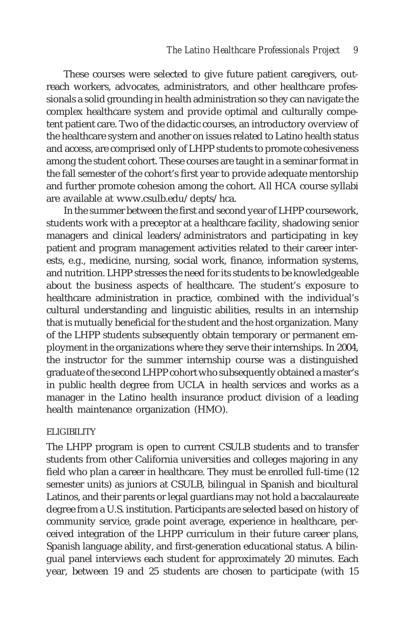These courses were selected to give future patient caregivers, outreach workers, advocates, administrators, and other healthcare professionals a solid grounding in health administration so they can navigate the complex healthcare system and provide optimal and culturally competent patient care. Two of the didactic courses, an introductory overview of the healthcare system and another on issues related to Latino health status and access, are comprised only of LHPP students to promote cohesiveness among the student cohort. These courses are taught in a seminar format in the fall semester of the cohort's first year to provide adequate mentorship and further promote cohesion among the cohort. All HCA course syllabi are available at www.csulb.edu/depts/hca.

In the summer between the first and second year of LHPP coursework, students work with a preceptor at a healthcare facility, shadowing senior managers and clinical leaders/administrators and participating in key patient and program management activities related to their career interests, e.g., medicine, nursing, social work, finance, information systems, and nutrition. LHPP stresses the need for its students to be knowledgeable about the business aspects of healthcare. The student's exposure to healthcare administration in practice, combined with the individual's cultural understanding and linguistic abilities, results in an internship that is mutually beneficial for the student and the host organization. Many of the LHPP students subsequently obtain temporary or permanent employment in the organizations where they serve their internships. In 2004, the instructor for the summer internship course was a distinguished graduate of the second LHPP cohort who subsequently obtained a master's in public health degree from UCLA in health services and works as a manager in the Latino health insurance product division of a leading health maintenance organization (HMO).

#### ELIGIBILITY

The LHPP program is open to current CSULB students and to transfer students from other California universities and colleges majoring in any field who plan a career in healthcare. They must be enrolled full-time (12 semester units) as juniors at CSULB, bilingual in Spanish and bicultural Latinos, and their parents or legal guardians may not hold a baccalaureate degree from a U.S. institution. Participants are selected based on history of community service, grade point average, experience in healthcare, perceived integration of the LHPP curriculum in their future career plans, Spanish language ability, and first-generation educational status. A bilingual panel interviews each student for approximately 20 minutes. Each year, between 19 and 25 students are chosen to participate (with 15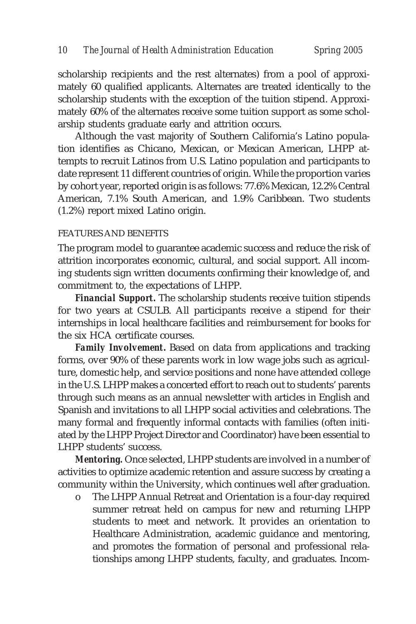scholarship recipients and the rest alternates) from a pool of approximately 60 qualified applicants. Alternates are treated identically to the scholarship students with the exception of the tuition stipend. Approximately 60% of the alternates receive some tuition support as some scholarship students graduate early and attrition occurs.

Although the vast majority of Southern California's Latino population identifies as Chicano, Mexican, or Mexican American, LHPP attempts to recruit Latinos from U.S. Latino population and participants to date represent 11 different countries of origin. While the proportion varies by cohort year, reported origin is as follows: 77.6% Mexican, 12.2% Central American, 7.1% South American, and 1.9% Caribbean. Two students (1.2%) report mixed Latino origin.

#### FEATURES AND BENEFITS

The program model to guarantee academic success and reduce the risk of attrition incorporates economic, cultural, and social support. All incoming students sign written documents confirming their knowledge of, and commitment to, the expectations of LHPP.

*Financial Support***.** The scholarship students receive tuition stipends for two years at CSULB. All participants receive a stipend for their internships in local healthcare facilities and reimbursement for books for the six HCA certificate courses.

*Family Involvement***.** Based on data from applications and tracking forms, over 90% of these parents work in low wage jobs such as agriculture, domestic help, and service positions and none have attended college in the U.S. LHPP makes a concerted effort to reach out to students' parents through such means as an annual newsletter with articles in English and Spanish and invitations to all LHPP social activities and celebrations. The many formal and frequently informal contacts with families (often initiated by the LHPP Project Director and Coordinator) have been essential to LHPP students' success.

*Mentoring.* Once selected, LHPP students are involved in a number of activities to optimize academic retention and assure success by creating a community within the University, which continues well after graduation.

o The LHPP Annual Retreat and Orientation is a four-day required summer retreat held on campus for new and returning LHPP students to meet and network. It provides an orientation to Healthcare Administration, academic guidance and mentoring, and promotes the formation of personal and professional relationships among LHPP students, faculty, and graduates. Incom-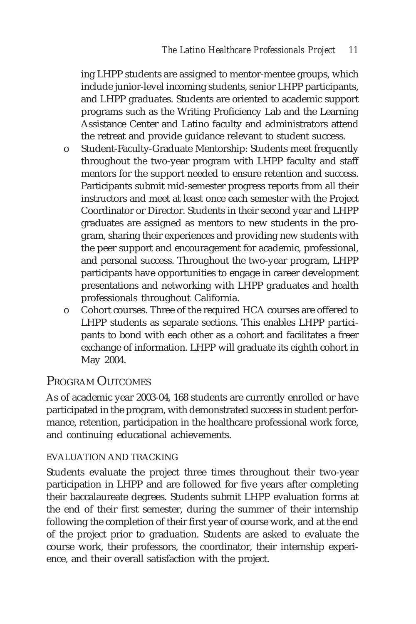ing LHPP students are assigned to mentor-mentee groups, which include junior-level incoming students, senior LHPP participants, and LHPP graduates. Students are oriented to academic support programs such as the Writing Proficiency Lab and the Learning Assistance Center and Latino faculty and administrators attend the retreat and provide guidance relevant to student success.

- o Student-Faculty-Graduate Mentorship: Students meet frequently throughout the two-year program with LHPP faculty and staff mentors for the support needed to ensure retention and success. Participants submit mid-semester progress reports from all their instructors and meet at least once each semester with the Project Coordinator or Director. Students in their second year and LHPP graduates are assigned as mentors to new students in the program, sharing their experiences and providing new students with the peer support and encouragement for academic, professional, and personal success. Throughout the two-year program, LHPP participants have opportunities to engage in career development presentations and networking with LHPP graduates and health professionals throughout California.
- o Cohort courses. Three of the required HCA courses are offered to LHPP students as separate sections. This enables LHPP participants to bond with each other as a cohort and facilitates a freer exchange of information. LHPP will graduate its eighth cohort in May 2004.

# PROGRAM OUTCOMES

As of academic year 2003-04, 168 students are currently enrolled or have participated in the program, with demonstrated success in student performance, retention, participation in the healthcare professional work force, and continuing educational achievements.

## EVALUATION AND TRACKING

Students evaluate the project three times throughout their two-year participation in LHPP and are followed for five years after completing their baccalaureate degrees. Students submit LHPP evaluation forms at the end of their first semester, during the summer of their internship following the completion of their first year of course work, and at the end of the project prior to graduation. Students are asked to evaluate the course work, their professors, the coordinator, their internship experience, and their overall satisfaction with the project.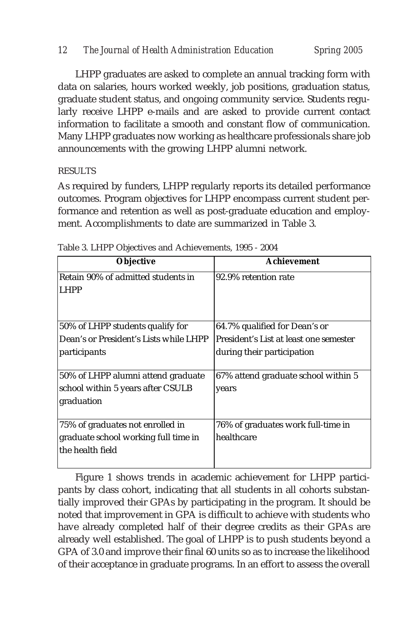LHPP graduates are asked to complete an annual tracking form with data on salaries, hours worked weekly, job positions, graduation status, graduate student status, and ongoing community service. Students regularly receive LHPP e-mails and are asked to provide current contact information to facilitate a smooth and constant flow of communication. Many LHPP graduates now working as healthcare professionals share job announcements with the growing LHPP alumni network.

## **RESULTS**

As required by funders, LHPP regularly reports its detailed performance outcomes. Program objectives for LHPP encompass current student performance and retention as well as post-graduate education and employment. Accomplishments to date are summarized in Table 3.

| <b>Objective</b>                       | Achievement                            |
|----------------------------------------|----------------------------------------|
| Retain 90% of admitted students in     | 92.9% retention rate                   |
| LHPP                                   |                                        |
|                                        |                                        |
| 50% of LHPP students qualify for       | 64.7% qualified for Dean's or          |
| Dean's or President's Lists while LHPP | President's List at least one semester |
| participants                           | during their participation             |
|                                        |                                        |
| 50% of LHPP alumni attend graduate     | 67% attend graduate school within 5    |
| school within 5 years after CSULB      | years                                  |
| graduation                             |                                        |
|                                        |                                        |
| 75% of graduates not enrolled in       | 76% of graduates work full-time in     |
| graduate school working full time in   | healthcare                             |
| the health field                       |                                        |
|                                        |                                        |

Table 3. LHPP Objectives and Achievements, 1995 - 2004

Figure 1 shows trends in academic achievement for LHPP participants by class cohort, indicating that all students in all cohorts substantially improved their GPAs by participating in the program. It should be noted that improvement in GPA is difficult to achieve with students who have already completed half of their degree credits as their GPAs are already well established. The goal of LHPP is to push students beyond a GPA of 3.0 and improve their final 60 units so as to increase the likelihood of their acceptance in graduate programs. In an effort to assess the overall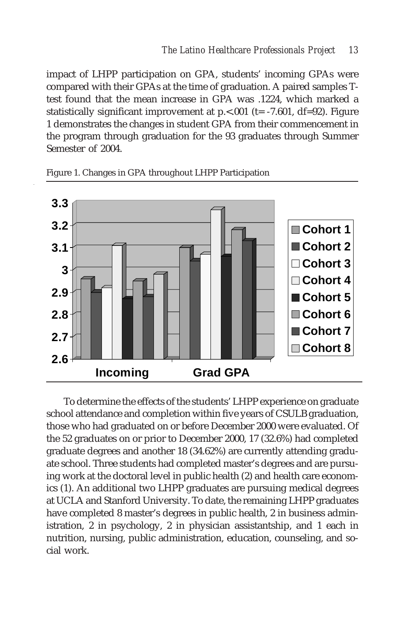impact of LHPP participation on GPA, students' incoming GPAs were compared with their GPAs at the time of graduation. A paired samples Ttest found that the mean increase in GPA was .1224, which marked a statistically significant improvement at  $p \lt 0.001$  (t= -7.601, df=92). Figure 1 demonstrates the changes in student GPA from their commencement in the program through graduation for the 93 graduates through Summer Semester of 2004.



Figure 1. Changes in GPA throughout LHPP Participation

To determine the effects of the students' LHPP experience on graduate school attendance and completion within five years of CSULB graduation, those who had graduated on or before December 2000 were evaluated. Of the 52 graduates on or prior to December 2000, 17 (32.6%) had completed graduate degrees and another 18 (34.62%) are currently attending graduate school. Three students had completed master's degrees and are pursuing work at the doctoral level in public health (2) and health care economics (1). An additional two LHPP graduates are pursuing medical degrees at UCLA and Stanford University. To date, the remaining LHPP graduates have completed 8 master's degrees in public health, 2 in business administration, 2 in psychology, 2 in physician assistantship, and 1 each in nutrition, nursing, public administration, education, counseling, and social work.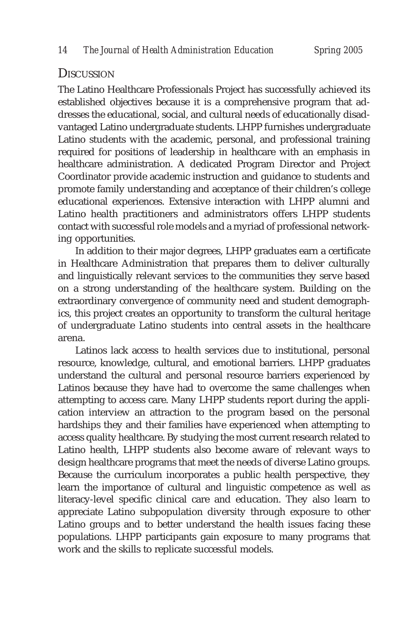## **DISCUSSION**

The Latino Healthcare Professionals Project has successfully achieved its established objectives because it is a comprehensive program that addresses the educational, social, and cultural needs of educationally disadvantaged Latino undergraduate students. LHPP furnishes undergraduate Latino students with the academic, personal, and professional training required for positions of leadership in healthcare with an emphasis in healthcare administration. A dedicated Program Director and Project Coordinator provide academic instruction and guidance to students and promote family understanding and acceptance of their children's college educational experiences. Extensive interaction with LHPP alumni and Latino health practitioners and administrators offers LHPP students contact with successful role models and a myriad of professional networking opportunities.

In addition to their major degrees, LHPP graduates earn a certificate in Healthcare Administration that prepares them to deliver culturally and linguistically relevant services to the communities they serve based on a strong understanding of the healthcare system. Building on the extraordinary convergence of community need and student demographics, this project creates an opportunity to transform the cultural heritage of undergraduate Latino students into central assets in the healthcare arena.

Latinos lack access to health services due to institutional, personal resource, knowledge, cultural, and emotional barriers. LHPP graduates understand the cultural and personal resource barriers experienced by Latinos because they have had to overcome the same challenges when attempting to access care. Many LHPP students report during the application interview an attraction to the program based on the personal hardships they and their families have experienced when attempting to access quality healthcare. By studying the most current research related to Latino health, LHPP students also become aware of relevant ways to design healthcare programs that meet the needs of diverse Latino groups. Because the curriculum incorporates a public health perspective, they learn the importance of cultural and linguistic competence as well as literacy-level specific clinical care and education. They also learn to appreciate Latino subpopulation diversity through exposure to other Latino groups and to better understand the health issues facing these populations. LHPP participants gain exposure to many programs that work and the skills to replicate successful models.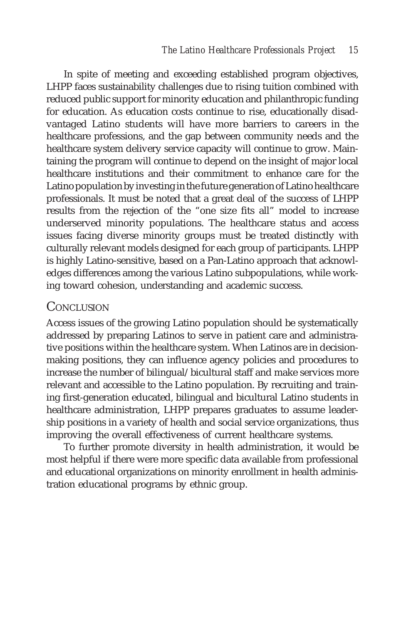In spite of meeting and exceeding established program objectives, LHPP faces sustainability challenges due to rising tuition combined with reduced public support for minority education and philanthropic funding for education. As education costs continue to rise, educationally disadvantaged Latino students will have more barriers to careers in the healthcare professions, and the gap between community needs and the healthcare system delivery service capacity will continue to grow. Maintaining the program will continue to depend on the insight of major local healthcare institutions and their commitment to enhance care for the Latino population by investing in the future generation of Latino healthcare professionals. It must be noted that a great deal of the success of LHPP results from the rejection of the "one size fits all" model to increase underserved minority populations. The healthcare status and access issues facing diverse minority groups must be treated distinctly with culturally relevant models designed for each group of participants. LHPP is highly Latino-sensitive, based on a Pan-Latino approach that acknowledges differences among the various Latino subpopulations, while working toward cohesion, understanding and academic success.

# **CONCLUSION**

Access issues of the growing Latino population should be systematically addressed by preparing Latinos to serve in patient care and administrative positions within the healthcare system. When Latinos are in decisionmaking positions, they can influence agency policies and procedures to increase the number of bilingual/bicultural staff and make services more relevant and accessible to the Latino population. By recruiting and training first-generation educated, bilingual and bicultural Latino students in healthcare administration, LHPP prepares graduates to assume leadership positions in a variety of health and social service organizations, thus improving the overall effectiveness of current healthcare systems.

To further promote diversity in health administration, it would be most helpful if there were more specific data available from professional and educational organizations on minority enrollment in health administration educational programs by ethnic group.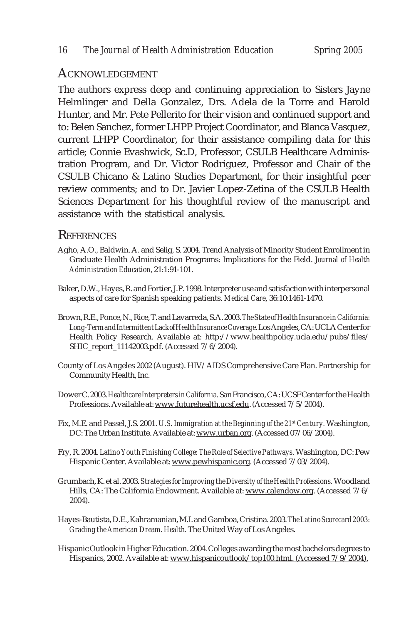#### ACKNOWLEDGEMENT

The authors express deep and continuing appreciation to Sisters Jayne Helmlinger and Della Gonzalez, Drs. Adela de la Torre and Harold Hunter, and Mr. Pete Pellerito for their vision and continued support and to: Belen Sanchez, former LHPP Project Coordinator, and Blanca Vasquez, current LHPP Coordinator, for their assistance compiling data for this article; Connie Evashwick, Sc.D, Professor, CSULB Healthcare Administration Program, and Dr. Victor Rodriguez, Professor and Chair of the CSULB Chicano & Latino Studies Department, for their insightful peer review comments; and to Dr. Javier Lopez-Zetina of the CSULB Health Sciences Department for his thoughtful review of the manuscript and assistance with the statistical analysis.

## **REFERENCES**

- Agho, A.O., Baldwin. A. and Selig, S. 2004. Trend Analysis of Minority Student Enrollment in Graduate Health Administration Programs: Implications for the Field. *Journal of Health Administration Education,* 21:1:91-101.
- Baker, D.W., Hayes, R. and Fortier, J.P. 1998. Interpreter use and satisfaction with interpersonal aspects of care for Spanish speaking patients. *Medical Care*, 36:10:1461-1470.
- Brown, R.E., Ponce, N., Rice, T. and Lavarreda, S.A. 2003. *The State of Health Insurance in California: Long-Term and Intermittent Lack of Health Insurance Coverage.* Los Angeles, CA: UCLA Center for Health Policy Research. Available at: http://www.healthpolicy.ucla.edu/pubs/files/ SHIC\_report\_11142003.pdf. (Accessed 7/6/2004).
- County of Los Angeles 2002 (August). HIV/AIDS Comprehensive Care Plan. Partnership for Community Health, Inc.
- Dower C. 2003. *Healthcare Interpreters in California.* San Francisco, CA: UCSF Center for the Health Professions. Available at: www.futurehealth.ucsf.edu. (Accessed 7/5/2004).
- Fix, M.E. and Passel, J.S. 2001. *U.S. Immigration at the Beginning of the 21st Century.* Washington, DC: The Urban Institute. Available at: www.urban.org. (Accessed 07/06/2004).
- Fry, R. 2004. *Latino Youth Finishing College: The Role of Selective Pathways.* Washington, DC: Pew Hispanic Center. Available at: www.pewhispanic.org. (Accessed 7/03/2004).
- Grumbach, K. et al. 2003. *Strategies for Improving the Diversity of the Health Professions.* Woodland Hills, CA: The California Endowment. Available at: www.calendow.org. (Accessed 7/6/ 2004).
- Hayes-Bautista, D.E., Kahramanian, M.I. and Gamboa, Cristina. 2003. *The Latino Scorecard 2003: Grading the American Dream. Health.* The United Way of Los Angeles.
- Hispanic Outlook in Higher Education. 2004. Colleges awarding the most bachelors degrees to Hispanics, 2002. Available at: www.hispanicoutlook/top100.html. (Accessed 7/9/2004).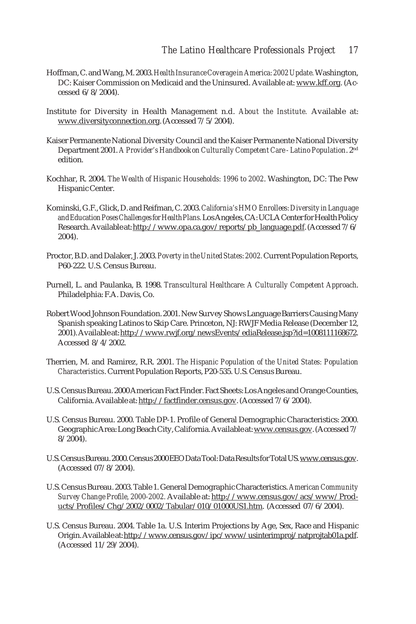- Hoffman, C. and Wang, M. 2003. *Health Insurance Coverage in America: 2002 Update.* Washington, DC: Kaiser Commission on Medicaid and the Uninsured. Available at: www.kff.org. (Accessed 6/8/2004).
- Institute for Diversity in Health Management n.d. *About the Institute.* Available at: www.diversityconnection.org. (Accessed 7/5/2004).
- Kaiser Permanente National Diversity Council and the Kaiser Permanente National Diversity Department 2001. *A Provider's Handbook on Culturally Competent Care - Latino Population*. 2nd edition.
- Kochhar, R. 2004. *The Wealth of Hispanic Households: 1996 to 2002*. Washington, DC: The Pew Hispanic Center.
- Kominski, G.F., Glick, D. and Reifman, C. 2003. *California's HMO Enrollees: Diversity in Language and Education Poses Challenges for Health Plans.* Los Angeles, CA: UCLA Center for Health Policy Research. Available at: http://www.opa.ca.gov/reports/pb\_language.pdf. (Accessed 7/6/ 2004).
- Proctor, B.D. and Dalaker, J. 2003. *Poverty in the United States: 2002.* Current Population Reports, P60-222. U.S. Census Bureau.
- Purnell, L. and Paulanka, B. 1998. *Transcultural Healthcare: A Culturally Competent Approach*. Philadelphia: F.A. Davis, Co.
- Robert Wood Johnson Foundation. 2001. New Survey Shows Language Barriers Causing Many Spanish speaking Latinos to Skip Care. Princeton, NJ: RWJF Media Release (December 12, 2001). Available at: http://www.rwjf.org/newsEvents/ediaRelease.jsp?id=1008111168672. Accessed 8/4/2002.
- Therrien, M. and Ramirez, R.R. 2001. *The Hispanic Population of the United States: Population Characteristics*. Current Population Reports, P20-535. U.S. Census Bureau.
- U.S. Census Bureau. 2000 American Fact Finder. Fact Sheets: Los Angeles and Orange Counties, California. Available at: http://factfinder.census.gov. (Accessed 7/6/2004).
- U.S. Census Bureau. 2000. Table DP-1. Profile of General Demographic Characteristics: 2000. Geographic Area: Long Beach City, California. Available at: www.census.gov. (Accessed 7/ 8/2004).
- U.S. Census Bureau. 2000. Census 2000 EEO Data Tool: Data Results for Total US. www.census.gov. (Accessed 07/8/2004).
- U.S. Census Bureau. 2003. Table 1. General Demographic Characteristics. *American Community Survey Change Profile, 2000-2002.* Available at: http://www.census.gov/acs/www/Products/Profiles/Chg/2002/0002/Tabular/010/01000US1.htm. (Accessed 07/6/2004).
- U.S. Census Bureau. 2004. Table 1a. U.S. Interim Projections by Age, Sex, Race and Hispanic Origin. Available at: http://www.census.gov/ipc/www/usinterimproj/natprojtab01a.pdf. (Accessed 11/29/2004).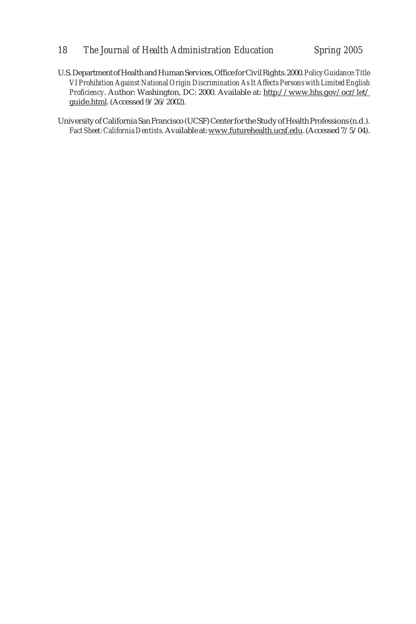#### *18 The Journal of Health Administration Education Spring 2005*

U.S. Department of Health and Human Services, Office for Civil Rights. 2000*. Policy Guidance: Title VI Prohibition Against National Origin Discrimination As It Affects Persons with Limited English Proficiency.* Author: Washington, DC: 2000. Available at: http://www.hhs.gov/ocr/let/ guide.html. (Accessed 9/26/2002).

University of California San Francisco (UCSF) Center for the Study of Health Professions (n.d.). *Fact Sheet: California Dentists.* Available at: www.futurehealth.ucsf.edu. (Accessed 7/5/04).